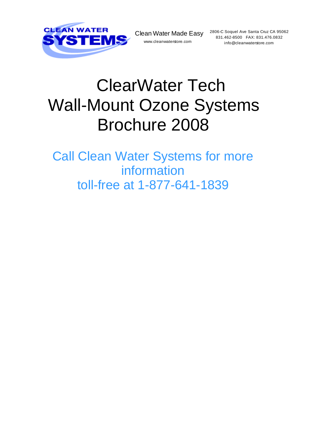

Clean Water Made Easy www.cleanwaterstore.com

2806-C Soquel Ave Santa Cruz CA 95062 831.462-8500 FAX: 831.476.0832 info@cleanwaterstore.com

# ClearWater Tech Wall-Mount Ozone Systems Brochure 2008

Call Clean Water Systems for more information toll-free at 1-877-641-1839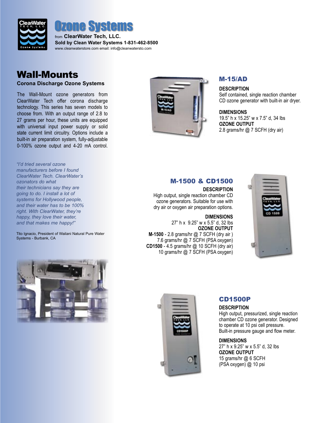



# Wall-Mounts

#### **Corona Discharge Ozone Systems**

The Wall-Mount ozone generators from ClearWater Tech offer corona discharge technology. This series has seven models to choose from. With an output range of 2.8 to 27 grams per hour, these units are equipped with universal input power supply or solid state current limit circuitry. Options include a built-in air preparation system, fully-adjustable 0-100% ozone output and 4-20 mA control.

*"I'd tried several ozone manufacturers before I found ClearWater Tech. ClearWater's ozonators do what their technicians say they are going to do. I install a lot of systems for Hollywood people, and their water has to be 100% right. With ClearWater, they're happy, they love their water, and that makes me happy!"*

Tito Ignacio, President of Wailani Natural Pure Water Systems - Burbank, CA





## M-15/AD

**DESCRIPTION** Self contained, single reaction chamber CD ozone generator with built-in air dryer.

#### **DIMENSIONS**

19.5" h x 15.25" w x 7.5" d, 34 lbs **OZONE OUTPUT** 2.8 grams/hr @ 7 SCFH (dry air)

# M-1500 & CD1500

**DESCRIPTION** High output, single reaction chamber CD ozone generators. Suitable for use with dry air or oxygen air preparation options.

#### **DIMENSIONS**

27" h x 9.25" w x 5.5" d, 32 lbs **OZONE OUTPUT M-1500** - 2.8 grams/hr @ 7 SCFH (dry air ) 7.6 grams/hr @ 7 SCFH (PSA oxygen) **CD1500** - 4.5 grams/hr @ 10 SCFH (dry air) 10 grams/hr @ 7 SCFH (PSA oxygen)





## CD1500P

#### **DESCRIPTION**

High output, pressurized, single reaction chamber CD ozone generator. Designed to operate at 10 psi cell pressure. Built-in pressure gauge and flow meter.

#### **DIMENSIONS**

27" h x 9.25" w x 5.5" d, 32 lbs **OZONE OUTPUT** 15 grams/hr @ 6 SCFH (PSA oxygen) @ 10 psi